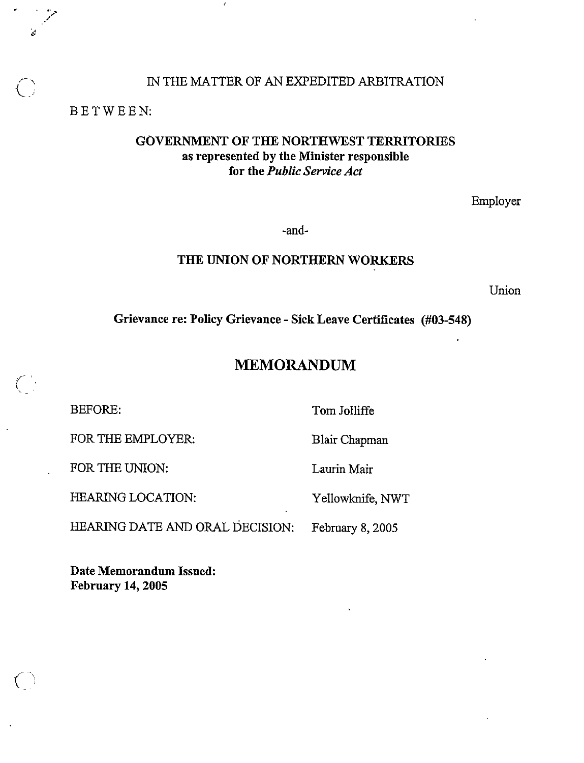### IN THE MATTER OF AN EXPEDITED ARBITRATION

BETWEEN:

1..

## GOVERNMENT OF THE NORTHWEST TERRITORIES as represented by the Minister responsible for the Public Service Act

Employer

-and-

## THE UNION OF NORTHERN WORKERS

Union

Grievance re: Policy Grievance - Sick Leave Certiflcates (#03-548)

# MEMORANDUM

FOR THE EMPLOYER: Blair Chapman

FOR THE UNION: Laurin Mair

HEARING LOCATION: Yellowknife, NWT

BEFORE: Tom JoIIiffe

HEARING DATE AND ORAL DECISION: February 8, 2005

Date Memorandum Issued: February 14, 2005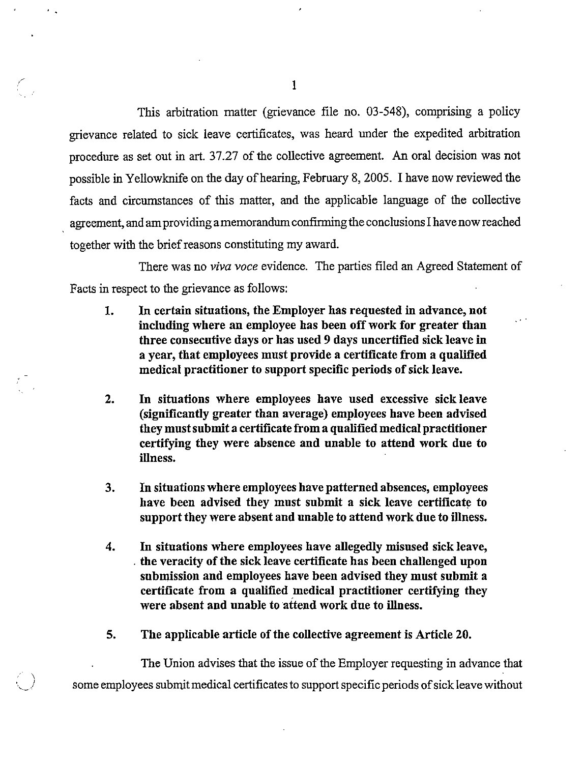This arbitration matter (grievance file no. 03-548), comprising a policy grievance related to sick leave certificates, was heard under the expedited arbitration procedure as set out in art. 37.27 of the collective agreement. An oral decision was not possible in Yellowknife on the day of hearing, February 8, 2005. I have now reviewed the facts and circumstances of this matter, and the applicable language of the collective agreement, and am providing a memorandum confirming the conclusions I have now reached together with the brief reasons constituting my award.

There was no *viva voce* evidence. The parties filed an Agreed Statement of Facts in respect to the grievance as follows:

- 1. In certain situations, the Employer has requested in advance, not including where an employee has been off work for greater than three consecutive days or has used 9 days uncertified sick leave in a year, that employees must provide a certificate from a qualified medical practitioner to support specific periods of sick leave.
- 2. In situations where employees have used excessive sick leave (significantly greater than average) employees have been advised they mustsubmit a certificate from a qualified medical practitioner certifying they were absence and unable to attend work due to illness.
- 3. In situations where employees have patterned absences, employees have been advised they must submit a sick leave certificate to support they were absent and unable to attend work due to illness.
- 4. In situations where employees have allegedly misused sick leave, the veracity of the sick leave certificate has been challenged upon submission and employees have been advised they must submit a certificate from a qualified medical practitioner certifying they were absent and unable to attend work due to illness.
- 5. The applicable article of the collective agreement is Article 20.

The Union advises that the issue of the Employer requesting in advance that some employees submit medical certificates to support specific periods of sick leave without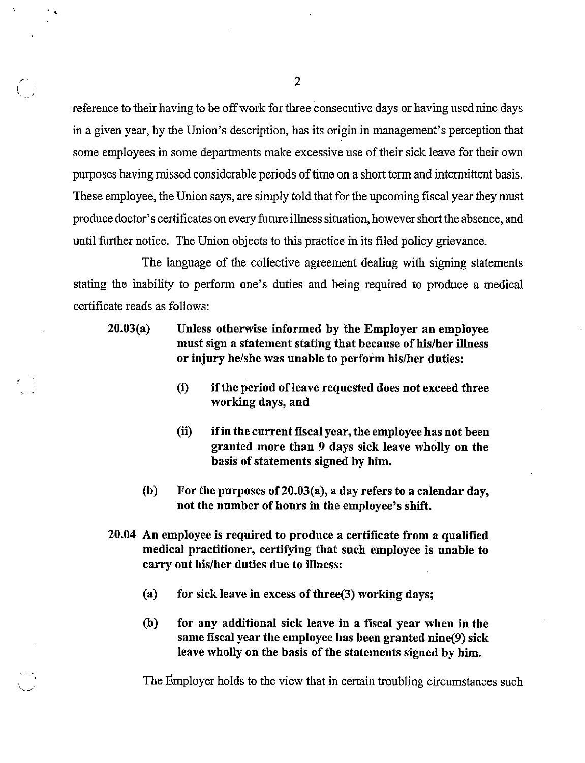reference to their having to be offwork for three consecutive days or having used nine days in a given year, by the Union's description, has its origin in management's perception that some employees in some departments make excessive use of their sick leave for their own purposes having missed considerable periods of time on a short term and intermittent basis. These employee, the Union says, are simply told that for the upcoming fiscal year they must produce doctor's certificates on every future illness situation, howevershort the absence, and until further notice. The Union objects to this practice in its filed policy grievance.

The language of the collective agreement dealing with signing statements stating the inability to perform one's duties and being required to produce a medical certificate reads as follows:

- 20.03(a) Unless otherwise informed by the Employer an employee must sign a statement stating that because of his/her illness or injury he/she was unable to perform his/her duties:
	- (i) if the period of leave requested does not exceed three working days, and
	- (ii) ifin the current fiscal year, the employee has not been granted more than 9 days sick leave wholly on the basis of statements signed by him.
	- (b) For the purposes of 20.03(a), a day refers to a calendar day, not the number of hours in the employee's shift.
- 20.04 An employee is required to produce a certificate from a qualified medical practitioner, certifying that such employee is unable to carry out his/her duties due to illness:
	- (a) for sick leave in excess of three  $(3)$  working days;
	- (b) for any additional sick leave in a fiscal year when in the same fiscal year the employee has been granted nine(9) sick leave wholly on the basis of the statements signed by him.

The Employer holds to the view that in certain troubling circumstances such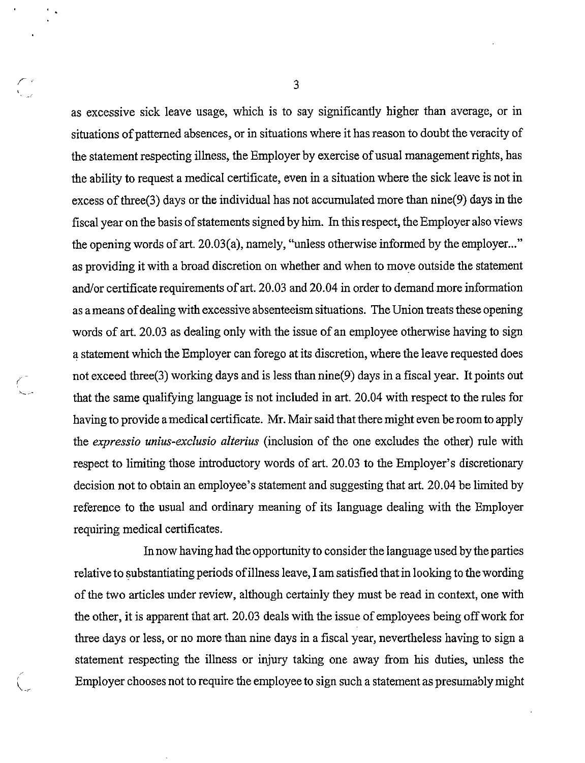as excessive sick leave usage, which is to say significantly higher than average, or in situations of patterned absences, or in situations where it has reason to doubt the veracity of the statement respecting illness, the Employer by exercise of usual management rights, has the ability to request a medical certificate, even in a situation where the sick leave is not in excess of three  $(3)$  days or the individual has not accumulated more than nine  $(9)$  days in the fiscal year onthebasisofstatements signedby him. In thisrespect, theEmployeralso views the opening words of art.  $20.03(a)$ , namely, "unless otherwise informed by the employer..." as providing it with a broad discretion on whether and when to move outside the statement and/or certificate requirements of art. 20.03 and 20.04 in order to demand more information as a means of dealing with excessive absenteeism situations. The Union treats these opening words of art. 20.03 as dealing only with the issue of an employee otherwise having to sign a statement which the Employer can forego at its discretion, where the leave requested does not exceed three(3) working days and is less than nine(9) days in a fiscal year. It points out that the same qualifying language is not included in art. 20,04 with respect to the rules for having to provide amedical certificate. Mr. Mair said that there might even be roomto apply the *expressio unius-exclusio alterius* (inclusion of the one excludes the other) rule with respect to limiting those introductory words of art. 20.03 to the Employer's discretionary decision not to obtain an employee's statement and suggesting that art. 20.04 be limited by reference to the usual and ordinary meaning of its language dealing with the Employer requiring medical certificates.

In now having had the opportunity to consider the language used by the parties relative to substantiating periods ofillness leave, I am satisfied that in looking to thewording of the two articles under review, although certainly they must be read in context, one with the other, it is apparent that art. 20.03 deals with the issue of employees being offwork for three days or less, or no more than nine days in a fiscal year, nevertheless having to sign a statement respecting the illness or injury taking one away from his duties, unless the Employer chooses not to require the employee to sign such a statement as presumably might

v...

3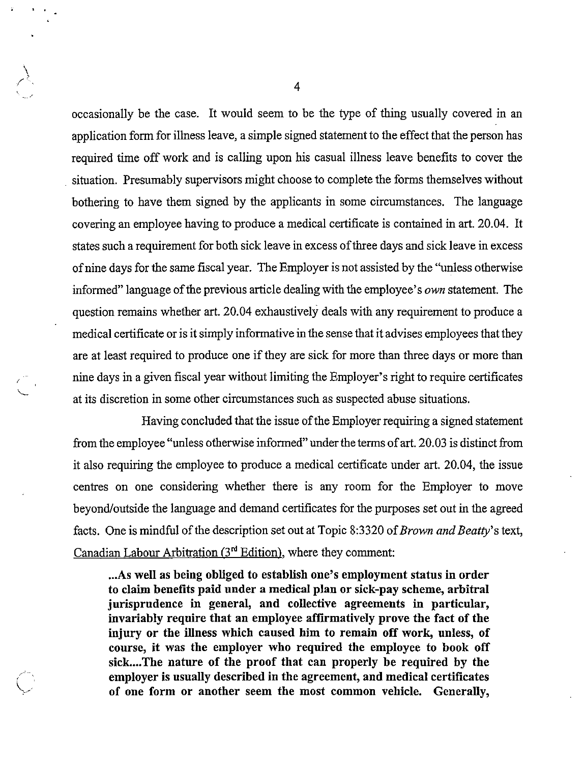occasionally be the case. It would seem to be the type of thing usually covered in an application form for illness leave, a simple signed statement to the effect that the person has required time off work and is calling upon his casual illness leave benefits to cover the situation. Presumably supervisors might choose to complete the forms themselves without bothering to have them signed by the applicants in some circumstances. The language covering an employee having to produce a medical certificate is contained in art. 20.04. It states such a requirement for both sick leave in excess of three days and sick leave in excess of nine days for the same fiscal year. The Employer is not assisted by the "unless otherwise" informed" language of the previous article dealing with the employee's *own* statement. The question remains whether art. 20.04 exhaustively deals with any requirement to produce a medical certificate or is itsimply informative in the sense that it advises employees that they are at least required to produce one if they are sick for more than three days or more than nine days in a given fiscal year without limiting the Employer's right to require certificates at its discretion in some other circumstances such as suspected abuse situations.

Having concluded that the issue of the Employer requiring a signed statement from the employee "unless otherwise informed" under the terms of art. 20.03 is distinct from it also requiring the employee to produce a medical certificate under art. 20.04, the issue centres on one considering whether there is any room for the Employer to move beyond/outside the language and demand certificates for the purposes set out in the agreed facts. One is mindful of the description set out at Topic 8:3320 of *Brown and Beatty*'s text, Canadian Labour Arbitration  $(3<sup>rd</sup> Edition)$ , where they comment:

...As well as being obliged to establish one's employment status in order to claim benefits paid under a medical plan or sick-pay scheme, arbitral jurisprudence in general, and collective agreements in particular, invariably require that an employee affirmatively prove the fact of the injury or the illness which caused him to remain off work, unless, of course, it was the employer who required the employee to book off sick....The nature of the proof that can properly be required by the employer is usually described in the agreement, and medical certificates of one form or another seem the most common vehicle. Generally,

 $\overline{4}$ 

 $\ddot{\phantom{1}}$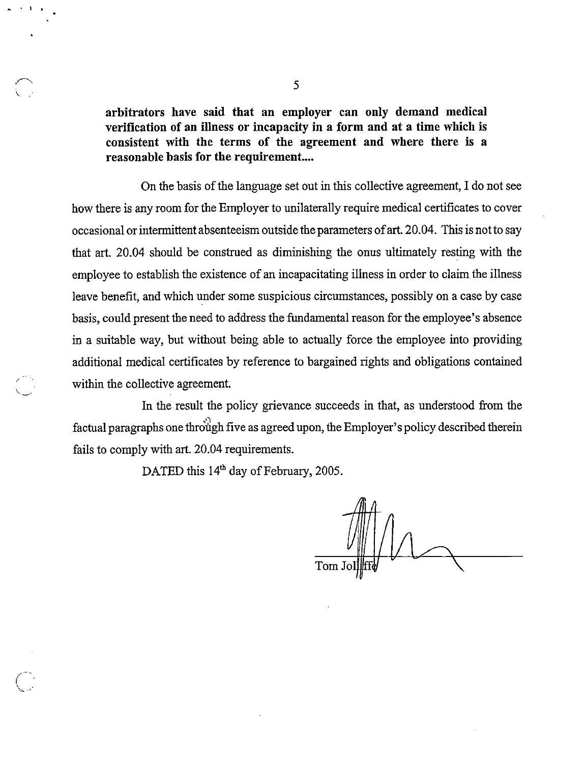arbitrators have said that an employer can only demand medical verification of an illness or incapacity in a form and at a time which is consistent with the terms of the agreement and where there is a reasonable basis for the requirement...

On the basis of the language set out in this collective agreement, I do not see how there is any room for the Employer to unilaterally require medical certificates to cover occasional or intermittent absenteeism outside the parameters ofart. 20.04. This is not to say that art. 20.04 should be construed as diminishing the onus ultimately resting with the employee to establish the existence of an incapacitating illness in order to claim the illness leave benefit, and which under some suspicious circumstances, possibly on a case by case basis, could present the need to address the fundamental reason for the employee's absence in a suitable way, but without being able to actually force the employee into providing additional medical certificates by reference to bargained rights and obligations contained within the collective agreement.

In the result the policy grievance succeeds in that, as understood from the factual paragraphs one through five as agreed upon, the Employer's policy described therein fails to comply with art. 20.04 requirements.

DATED this 14<sup>th</sup> day of February, 2005.

Tom J

'v